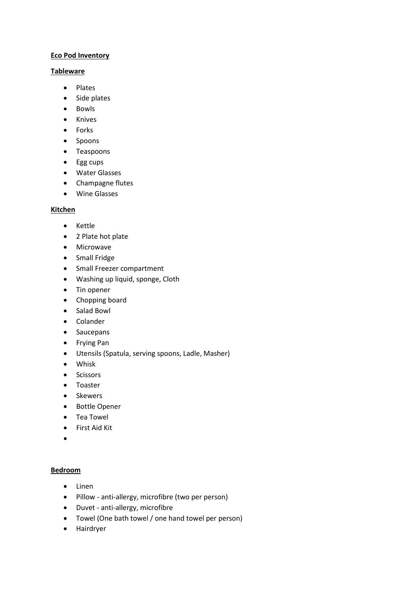## **Eco Pod Inventory**

### **Tableware**

- Plates
- Side plates
- Bowls
- Knives
- Forks
- Spoons
- Teaspoons
- Egg cups
- Water Glasses
- Champagne flutes
- Wine Glasses

### **Kitchen**

- Kettle
- 2 Plate hot plate
- Microwave
- Small Fridge
- Small Freezer compartment
- Washing up liquid, sponge, Cloth
- Tin opener
- Chopping board
- Salad Bowl
- Colander
- Saucepans
- Frying Pan
- Utensils (Spatula, serving spoons, Ladle, Masher)
- Whisk
- Scissors
- Toaster
- Skewers
- Bottle Opener
- Tea Towel
- First Aid Kit
- •

### **Bedroom**

- Linen
- Pillow anti-allergy, microfibre (two per person)
- Duvet anti-allergy, microfibre
- Towel (One bath towel / one hand towel per person)
- Hairdryer